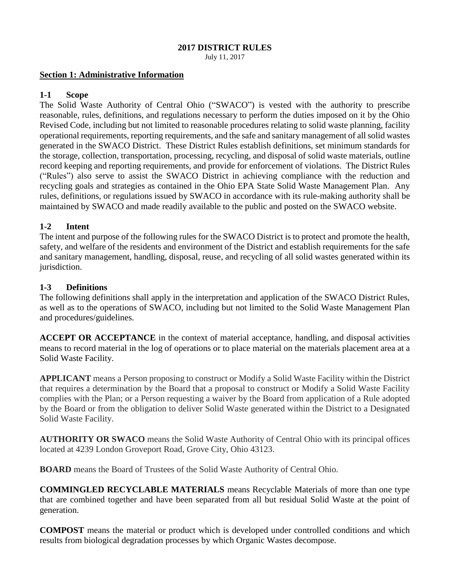#### **2017 DISTRICT RULES**

July 11, 2017

#### **Section 1: Administrative Information**

#### **1-1 Scope**

The Solid Waste Authority of Central Ohio ("SWACO") is vested with the authority to prescribe reasonable, rules, definitions, and regulations necessary to perform the duties imposed on it by the Ohio Revised Code, including but not limited to reasonable procedures relating to solid waste planning, facility operational requirements, reporting requirements, and the safe and sanitary management of all solid wastes generated in the SWACO District. These District Rules establish definitions, set minimum standards for the storage, collection, transportation, processing, recycling, and disposal of solid waste materials, outline record keeping and reporting requirements, and provide for enforcement of violations. The District Rules ("Rules") also serve to assist the SWACO District in achieving compliance with the reduction and recycling goals and strategies as contained in the Ohio EPA State Solid Waste Management Plan. Any rules, definitions, or regulations issued by SWACO in accordance with its rule-making authority shall be maintained by SWACO and made readily available to the public and posted on the SWACO website.

## **1-2 Intent**

The intent and purpose of the following rules for the SWACO District is to protect and promote the health, safety, and welfare of the residents and environment of the District and establish requirements for the safe and sanitary management, handling, disposal, reuse, and recycling of all solid wastes generated within its jurisdiction.

### **1-3 Definitions**

The following definitions shall apply in the interpretation and application of the SWACO District Rules, as well as to the operations of SWACO, including but not limited to the Solid Waste Management Plan and procedures/guidelines.

**ACCEPT OR ACCEPTANCE** in the context of material acceptance, handling, and disposal activities means to record material in the log of operations or to place material on the materials placement area at a Solid Waste Facility.

**APPLICANT** means a Person proposing to construct or Modify a Solid Waste Facility within the District that requires a determination by the Board that a proposal to construct or Modify a Solid Waste Facility complies with the Plan; or a Person requesting a waiver by the Board from application of a Rule adopted by the Board or from the obligation to deliver Solid Waste generated within the District to a Designated Solid Waste Facility.

**AUTHORITY OR SWACO** means the Solid Waste Authority of Central Ohio with its principal offices located at 4239 London Groveport Road, Grove City, Ohio 43123.

**BOARD** means the Board of Trustees of the Solid Waste Authority of Central Ohio.

**COMMINGLED RECYCLABLE MATERIALS** means Recyclable Materials of more than one type that are combined together and have been separated from all but residual Solid Waste at the point of generation.

**COMPOST** means the material or product which is developed under controlled conditions and which results from biological degradation processes by which Organic Wastes decompose.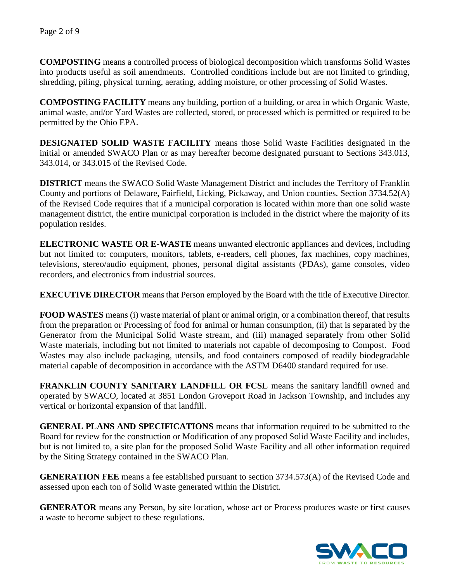**COMPOSTING** means a controlled process of biological decomposition which transforms Solid Wastes into products useful as soil amendments. Controlled conditions include but are not limited to grinding, shredding, piling, physical turning, aerating, adding moisture, or other processing of Solid Wastes.

**COMPOSTING FACILITY** means any building, portion of a building, or area in which Organic Waste, animal waste, and/or Yard Wastes are collected, stored, or processed which is permitted or required to be permitted by the Ohio EPA.

**DESIGNATED SOLID WASTE FACILITY** means those Solid Waste Facilities designated in the initial or amended SWACO Plan or as may hereafter become designated pursuant to Sections 343.013, 343.014, or 343.015 of the Revised Code.

**DISTRICT** means the SWACO Solid Waste Management District and includes the Territory of Franklin County and portions of Delaware, Fairfield, Licking, Pickaway, and Union counties. Section 3734.52(A) of the Revised Code requires that if a municipal corporation is located within more than one solid waste management district, the entire municipal corporation is included in the district where the majority of its population resides.

**ELECTRONIC WASTE OR E-WASTE** means unwanted electronic appliances and devices, including but not limited to: computers, monitors, tablets, e-readers, cell phones, fax machines, copy machines, televisions, stereo/audio equipment, phones, personal digital assistants (PDAs), game consoles, video recorders, and electronics from industrial sources.

**EXECUTIVE DIRECTOR** means that Person employed by the Board with the title of Executive Director.

**FOOD WASTES** means (i) waste material of plant or animal origin, or a combination thereof, that results from the preparation or Processing of food for animal or human consumption, (ii) that is separated by the Generator from the Municipal Solid Waste stream, and (iii) managed separately from other Solid Waste materials, including but not limited to materials not capable of decomposing to Compost. Food Wastes may also include packaging, utensils, and food containers composed of readily biodegradable material capable of decomposition in accordance with the ASTM D6400 standard required for use.

**FRANKLIN COUNTY SANITARY LANDFILL OR FCSL** means the sanitary landfill owned and operated by SWACO, located at 3851 London Groveport Road in Jackson Township, and includes any vertical or horizontal expansion of that landfill.

**GENERAL PLANS AND SPECIFICATIONS** means that information required to be submitted to the Board for review for the construction or Modification of any proposed Solid Waste Facility and includes, but is not limited to, a site plan for the proposed Solid Waste Facility and all other information required by the Siting Strategy contained in the SWACO Plan.

**GENERATION FEE** means a fee established pursuant to section 3734.573(A) of the Revised Code and assessed upon each ton of Solid Waste generated within the District.

**GENERATOR** means any Person, by site location, whose act or Process produces waste or first causes a waste to become subject to these regulations.

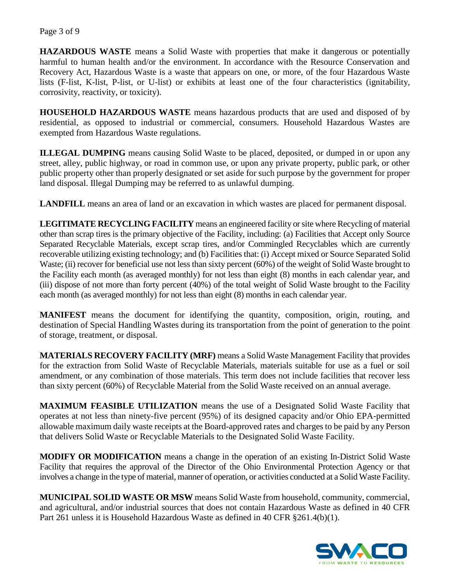**HAZARDOUS WASTE** means a Solid Waste with properties that make it dangerous or potentially harmful to human health and/or the environment. In accordance with the Resource Conservation and Recovery Act, Hazardous Waste is a waste that appears on one, or more, of the four Hazardous Waste lists (F-list, K-list, P-list, or U-list) or exhibits at least one of the four characteristics (ignitability, corrosivity, reactivity, or toxicity).

**HOUSEHOLD HAZARDOUS WASTE** means hazardous products that are used and disposed of by residential, as opposed to industrial or commercial, consumers. Household Hazardous Wastes are exempted from Hazardous Waste regulations.

**ILLEGAL DUMPING** means causing Solid Waste to be placed, deposited, or dumped in or upon any street, alley, public highway, or road in common use, or upon any private property, public park, or other public property other than properly designated or set aside for such purpose by the government for proper land disposal. Illegal Dumping may be referred to as unlawful dumping.

**LANDFILL** means an area of land or an excavation in which wastes are placed for permanent disposal.

**LEGITIMATE RECYCLING FACILITY** means an engineered facility or site where Recycling of material other than scrap tires is the primary objective of the Facility, including: (a) Facilities that Accept only Source Separated Recyclable Materials, except scrap tires, and/or Commingled Recyclables which are currently recoverable utilizing existing technology; and (b) Facilities that: (i) Accept mixed or Source Separated Solid Waste; (ii) recover for beneficial use not less than sixty percent (60%) of the weight of Solid Waste brought to the Facility each month (as averaged monthly) for not less than eight (8) months in each calendar year, and (iii) dispose of not more than forty percent (40%) of the total weight of Solid Waste brought to the Facility each month (as averaged monthly) for not less than eight (8) months in each calendar year.

**MANIFEST** means the document for identifying the quantity, composition, origin, routing, and destination of Special Handling Wastes during its transportation from the point of generation to the point of storage, treatment, or disposal.

**MATERIALS RECOVERY FACILITY (MRF)** means a Solid Waste Management Facility that provides for the extraction from Solid Waste of Recyclable Materials, materials suitable for use as a fuel or soil amendment, or any combination of those materials. This term does not include facilities that recover less than sixty percent (60%) of Recyclable Material from the Solid Waste received on an annual average.

**MAXIMUM FEASIBLE UTILIZATION** means the use of a Designated Solid Waste Facility that operates at not less than ninety-five percent (95%) of its designed capacity and/or Ohio EPA-permitted allowable maximum daily waste receipts at the Board-approved rates and charges to be paid by any Person that delivers Solid Waste or Recyclable Materials to the Designated Solid Waste Facility.

**MODIFY OR MODIFICATION** means a change in the operation of an existing In-District Solid Waste Facility that requires the approval of the Director of the Ohio Environmental Protection Agency or that involves a change in the type of material, manner of operation, or activities conducted at a Solid Waste Facility.

**MUNICIPAL SOLID WASTE OR MSW** means Solid Waste from household, community, commercial, and agricultural, and/or industrial sources that does not contain Hazardous Waste as defined in 40 CFR Part 261 unless it is Household Hazardous Waste as defined in 40 CFR §261.4(b)(1).

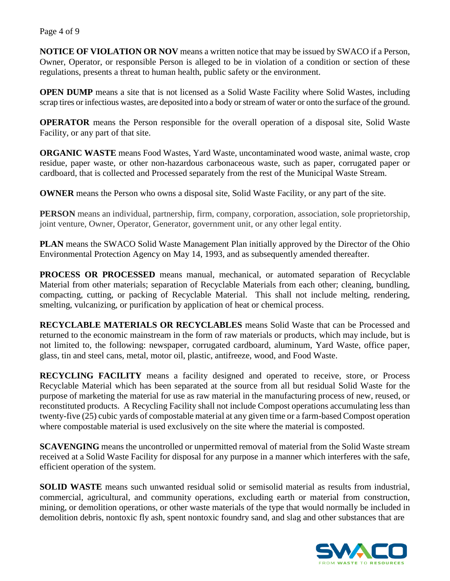**NOTICE OF VIOLATION OR NOV** means a written notice that may be issued by SWACO if a Person, Owner, Operator, or responsible Person is alleged to be in violation of a condition or section of these regulations, presents a threat to human health, public safety or the environment.

**OPEN DUMP** means a site that is not licensed as a Solid Waste Facility where Solid Wastes, including scrap tires or infectious wastes, are deposited into a body or stream of water or onto the surface of the ground.

**OPERATOR** means the Person responsible for the overall operation of a disposal site, Solid Waste Facility, or any part of that site.

**ORGANIC WASTE** means Food Wastes, Yard Waste, uncontaminated wood waste, animal waste, crop residue, paper waste, or other non-hazardous carbonaceous waste, such as paper, corrugated paper or cardboard, that is collected and Processed separately from the rest of the Municipal Waste Stream.

**OWNER** means the Person who owns a disposal site, Solid Waste Facility, or any part of the site.

**PERSON** means an individual, partnership, firm, company, corporation, association, sole proprietorship, joint venture, Owner, Operator, Generator, government unit, or any other legal entity.

**PLAN** means the SWACO Solid Waste Management Plan initially approved by the Director of the Ohio Environmental Protection Agency on May 14, 1993, and as subsequently amended thereafter.

**PROCESS OR PROCESSED** means manual, mechanical, or automated separation of Recyclable Material from other materials; separation of Recyclable Materials from each other; cleaning, bundling, compacting, cutting, or packing of Recyclable Material. This shall not include melting, rendering, smelting, vulcanizing, or purification by application of heat or chemical process.

**RECYCLABLE MATERIALS OR RECYCLABLES** means Solid Waste that can be Processed and returned to the economic mainstream in the form of raw materials or products, which may include, but is not limited to, the following: newspaper, corrugated cardboard, aluminum, Yard Waste, office paper, glass, tin and steel cans, metal, motor oil, plastic, antifreeze, wood, and Food Waste.

**RECYCLING FACILITY** means a facility designed and operated to receive, store, or Process Recyclable Material which has been separated at the source from all but residual Solid Waste for the purpose of marketing the material for use as raw material in the manufacturing process of new, reused, or reconstituted products. A Recycling Facility shall not include Compost operations accumulating less than twenty-five (25) cubic yards of compostable material at any given time or a farm-based Compost operation where compostable material is used exclusively on the site where the material is composted.

**SCAVENGING** means the uncontrolled or unpermitted removal of material from the Solid Waste stream received at a Solid Waste Facility for disposal for any purpose in a manner which interferes with the safe, efficient operation of the system.

**SOLID WASTE** means such unwanted residual solid or semisolid material as results from industrial, commercial, agricultural, and community operations, excluding earth or material from construction, mining, or demolition operations, or other waste materials of the type that would normally be included in demolition debris, nontoxic fly ash, spent nontoxic foundry sand, and slag and other substances that are

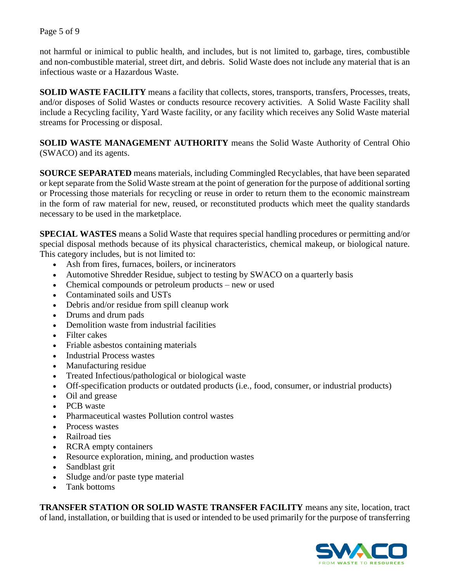not harmful or inimical to public health, and includes, but is not limited to, garbage, tires, combustible and non-combustible material, street dirt, and debris. Solid Waste does not include any material that is an infectious waste or a Hazardous Waste.

**SOLID WASTE FACILITY** means a facility that collects, stores, transports, transfers, Processes, treats, and/or disposes of Solid Wastes or conducts resource recovery activities. A Solid Waste Facility shall include a Recycling facility, Yard Waste facility, or any facility which receives any Solid Waste material streams for Processing or disposal.

**SOLID WASTE MANAGEMENT AUTHORITY** means the Solid Waste Authority of Central Ohio (SWACO) and its agents.

**SOURCE SEPARATED** means materials, including Commingled Recyclables, that have been separated or kept separate from the Solid Waste stream at the point of generation for the purpose of additional sorting or Processing those materials for recycling or reuse in order to return them to the economic mainstream in the form of raw material for new, reused, or reconstituted products which meet the quality standards necessary to be used in the marketplace.

**SPECIAL WASTES** means a Solid Waste that requires special handling procedures or permitting and/or special disposal methods because of its physical characteristics, chemical makeup, or biological nature. This category includes, but is not limited to:

- Ash from fires, furnaces, boilers, or incinerators
- Automotive Shredder Residue, subject to testing by SWACO on a quarterly basis
- Chemical compounds or petroleum products new or used
- Contaminated soils and USTs
- Debris and/or residue from spill cleanup work
- Drums and drum pads
- Demolition waste from industrial facilities
- Filter cakes
- Friable asbestos containing materials
- Industrial Process wastes
- Manufacturing residue
- Treated Infectious/pathological or biological waste
- Off-specification products or outdated products (i.e., food, consumer, or industrial products)
- Oil and grease
- PCB waste
- Pharmaceutical wastes Pollution control wastes
- Process wastes
- Railroad ties
- RCRA empty containers
- Resource exploration, mining, and production wastes
- Sandblast grit
- Sludge and/or paste type material
- Tank bottoms

**TRANSFER STATION OR SOLID WASTE TRANSFER FACILITY** means any site, location, tract of land, installation, or building that is used or intended to be used primarily for the purpose of transferring

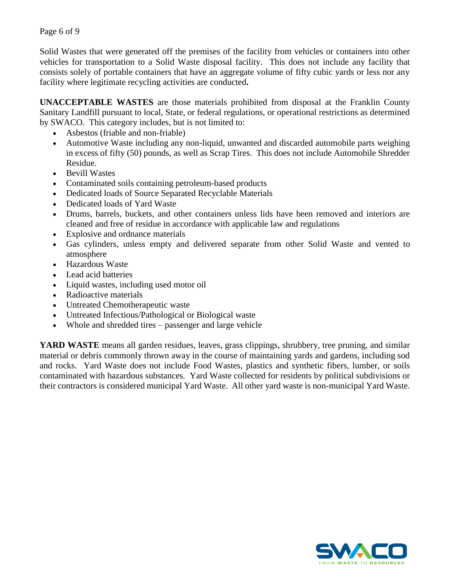Solid Wastes that were generated off the premises of the facility from vehicles or containers into other vehicles for transportation to a Solid Waste disposal facility. This does not include any facility that consists solely of portable containers that have an aggregate volume of fifty cubic yards or less nor any facility where legitimate recycling activities are conducted**.** 

**UNACCEPTABLE WASTES** are those materials prohibited from disposal at the Franklin County Sanitary Landfill pursuant to local, State, or federal regulations, or operational restrictions as determined by SWACO. This category includes, but is not limited to:

- Asbestos (friable and non-friable)
- Automotive Waste including any non-liquid, unwanted and discarded automobile parts weighing in excess of fifty (50) pounds, as well as Scrap Tires. This does not include Automobile Shredder Residue.
- Bevill Wastes
- Contaminated soils containing petroleum-based products
- Dedicated loads of Source Separated Recyclable Materials
- Dedicated loads of Yard Waste
- Drums, barrels, buckets, and other containers unless lids have been removed and interiors are cleaned and free of residue in accordance with applicable law and regulations
- Explosive and ordnance materials
- Gas cylinders, unless empty and delivered separate from other Solid Waste and vented to atmosphere
- Hazardous Waste
- Lead acid batteries
- Liquid wastes, including used motor oil
- Radioactive materials
- Untreated Chemotherapeutic waste
- Untreated Infectious/Pathological or Biological waste
- Whole and shredded tires passenger and large vehicle

**YARD WASTE** means all garden residues, leaves, grass clippings, shrubbery, tree pruning, and similar material or debris commonly thrown away in the course of maintaining yards and gardens, including sod and rocks. Yard Waste does not include Food Wastes, plastics and synthetic fibers, lumber, or soils contaminated with hazardous substances. Yard Waste collected for residents by political subdivisions or their contractors is considered municipal Yard Waste. All other yard waste is non-municipal Yard Waste.

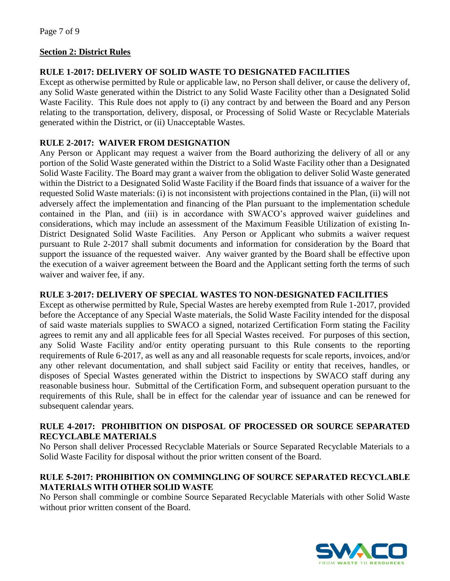## **Section 2: District Rules**

## **RULE 1-2017: DELIVERY OF SOLID WASTE TO DESIGNATED FACILITIES**

Except as otherwise permitted by Rule or applicable law, no Person shall deliver, or cause the delivery of, any Solid Waste generated within the District to any Solid Waste Facility other than a Designated Solid Waste Facility. This Rule does not apply to (i) any contract by and between the Board and any Person relating to the transportation, delivery, disposal, or Processing of Solid Waste or Recyclable Materials generated within the District, or (ii) Unacceptable Wastes.

## **RULE 2-2017: WAIVER FROM DESIGNATION**

Any Person or Applicant may request a waiver from the Board authorizing the delivery of all or any portion of the Solid Waste generated within the District to a Solid Waste Facility other than a Designated Solid Waste Facility. The Board may grant a waiver from the obligation to deliver Solid Waste generated within the District to a Designated Solid Waste Facility if the Board finds that issuance of a waiver for the requested Solid Waste materials: (i) is not inconsistent with projections contained in the Plan, (ii) will not adversely affect the implementation and financing of the Plan pursuant to the implementation schedule contained in the Plan, and (iii) is in accordance with SWACO's approved waiver guidelines and considerations, which may include an assessment of the Maximum Feasible Utilization of existing In-District Designated Solid Waste Facilities. Any Person or Applicant who submits a waiver request pursuant to Rule 2-2017 shall submit documents and information for consideration by the Board that support the issuance of the requested waiver. Any waiver granted by the Board shall be effective upon the execution of a waiver agreement between the Board and the Applicant setting forth the terms of such waiver and waiver fee, if any.

## **RULE 3-2017: DELIVERY OF SPECIAL WASTES TO NON-DESIGNATED FACILITIES**

Except as otherwise permitted by Rule, Special Wastes are hereby exempted from Rule 1-2017, provided before the Acceptance of any Special Waste materials, the Solid Waste Facility intended for the disposal of said waste materials supplies to SWACO a signed, notarized Certification Form stating the Facility agrees to remit any and all applicable fees for all Special Wastes received. For purposes of this section, any Solid Waste Facility and/or entity operating pursuant to this Rule consents to the reporting requirements of Rule 6-2017, as well as any and all reasonable requests for scale reports, invoices, and/or any other relevant documentation, and shall subject said Facility or entity that receives, handles, or disposes of Special Wastes generated within the District to inspections by SWACO staff during any reasonable business hour. Submittal of the Certification Form, and subsequent operation pursuant to the requirements of this Rule, shall be in effect for the calendar year of issuance and can be renewed for subsequent calendar years.

## **RULE 4-2017: PROHIBITION ON DISPOSAL OF PROCESSED OR SOURCE SEPARATED RECYCLABLE MATERIALS**

No Person shall deliver Processed Recyclable Materials or Source Separated Recyclable Materials to a Solid Waste Facility for disposal without the prior written consent of the Board.

## RULE 5-2017: PROHIBITION ON COMMINGLING OF SOURCE SEPARATED RECYCLABLE MATERIALS WITH OTHER SOLID WASTE

No Person shall commingle or combine Source Separated Recyclable Materials with other Solid Waste without prior written consent of the Board.

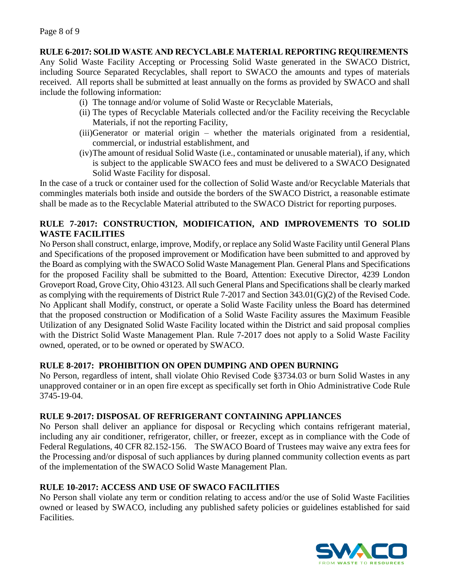### **RULE 6-2017:** SOLID WASTE AND RECYCLABLE MATERIAL REPORTING REQUIREMENTS

Any Solid Waste Facility Accepting or Processing Solid Waste generated in the SWACO District, including Source Separated Recyclables, shall report to SWACO the amounts and types of materials received. All reports shall be submitted at least annually on the forms as provided by SWACO and shall include the following information:

- (i) The tonnage and/or volume of Solid Waste or Recyclable Materials,
- (ii) The types of Recyclable Materials collected and/or the Facility receiving the Recyclable Materials, if not the reporting Facility,
- (iii)Generator or material origin whether the materials originated from a residential, commercial, or industrial establishment, and
- (iv)The amount of residual Solid Waste (i.e., contaminated or unusable material), if any, which is subject to the applicable SWACO fees and must be delivered to a SWACO Designated Solid Waste Facility for disposal.

In the case of a truck or container used for the collection of Solid Waste and/or Recyclable Materials that commingles materials both inside and outside the borders of the SWACO District, a reasonable estimate shall be made as to the Recyclable Material attributed to the SWACO District for reporting purposes.

# **RULE 7-2017: CONSTRUCTION, MODIFICATION, AND IMPROVEMENTS TO SOLID WASTE FACILITIES**

No Person shall construct, enlarge, improve, Modify, or replace any Solid Waste Facility until General Plans and Specifications of the proposed improvement or Modification have been submitted to and approved by the Board as complying with the SWACO Solid Waste Management Plan. General Plans and Specifications for the proposed Facility shall be submitted to the Board, Attention: Executive Director, 4239 London Groveport Road, Grove City, Ohio 43123. All such General Plans and Specifications shall be clearly marked as complying with the requirements of District Rule 7-2017 and Section 343.01(G)(2) of the Revised Code. No Applicant shall Modify, construct, or operate a Solid Waste Facility unless the Board has determined that the proposed construction or Modification of a Solid Waste Facility assures the Maximum Feasible Utilization of any Designated Solid Waste Facility located within the District and said proposal complies with the District Solid Waste Management Plan. Rule 7-2017 does not apply to a Solid Waste Facility owned, operated, or to be owned or operated by SWACO.

# **RULE 8-2017: PROHIBITION ON OPEN DUMPING AND OPEN BURNING**

No Person, regardless of intent, shall violate Ohio Revised Code §3734.03 or burn Solid Wastes in any unapproved container or in an open fire except as specifically set forth in Ohio Administrative Code Rule 3745-19-04.

## **RULE 9-2017: DISPOSAL OF REFRIGERANT CONTAINING APPLIANCES**

No Person shall deliver an appliance for disposal or Recycling which contains refrigerant material, including any air conditioner, refrigerator, chiller, or freezer, except as in compliance with the Code of Federal Regulations, 40 CFR 82.152-156.The SWACO Board of Trustees may waive any extra fees for the Processing and/or disposal of such appliances by during planned community collection events as part of the implementation of the SWACO Solid Waste Management Plan.

## **RULE 10-2017: ACCESS AND USE OF SWACO FACILITIES**

No Person shall violate any term or condition relating to access and/or the use of Solid Waste Facilities owned or leased by SWACO, including any published safety policies or guidelines established for said Facilities.